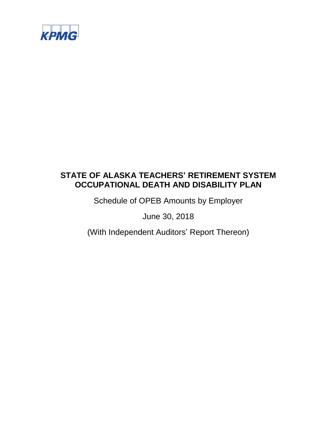

Schedule of OPEB Amounts by Employer

June 30, 2018

(With Independent Auditors' Report Thereon)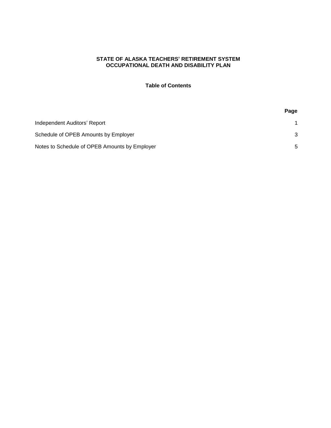# **Table of Contents**

| Independent Auditors' Report                  |   |
|-----------------------------------------------|---|
| Schedule of OPEB Amounts by Employer          |   |
| Notes to Schedule of OPEB Amounts by Employer | 5 |

# **Page**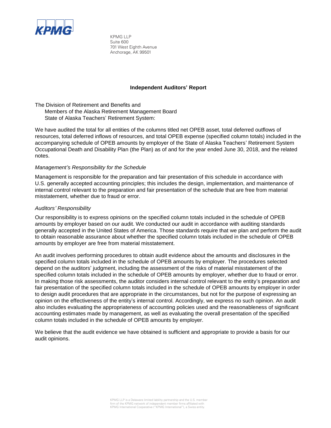

KPMG LLP Suite 600 701 West Eighth Avenue Anchorage, AK 99501

#### **Independent Auditors' Report**

The Division of Retirement and Benefits and Members of the Alaska Retirement Management Board State of Alaska Teachers' Retirement System:

We have audited the total for all entities of the columns titled net OPEB asset, total deferred outflows of resources, total deferred inflows of resources, and total OPEB expense (specified column totals) included in the accompanying schedule of OPEB amounts by employer of the State of Alaska Teachers' Retirement System Occupational Death and Disability Plan (the Plan) as of and for the year ended June 30, 2018, and the related notes.

#### *Management's Responsibility for the Schedule*

Management is responsible for the preparation and fair presentation of this schedule in accordance with U.S. generally accepted accounting principles; this includes the design, implementation, and maintenance of internal control relevant to the preparation and fair presentation of the schedule that are free from material misstatement, whether due to fraud or error.

#### *Auditors' Responsibility*

Our responsibility is to express opinions on the specified column totals included in the schedule of OPEB amounts by employer based on our audit. We conducted our audit in accordance with auditing standards generally accepted in the United States of America. Those standards require that we plan and perform the audit to obtain reasonable assurance about whether the specified column totals included in the schedule of OPEB amounts by employer are free from material misstatement.

An audit involves performing procedures to obtain audit evidence about the amounts and disclosures in the specified column totals included in the schedule of OPEB amounts by employer. The procedures selected depend on the auditors' judgment, including the assessment of the risks of material misstatement of the specified column totals included in the schedule of OPEB amounts by employer, whether due to fraud or error. In making those risk assessments, the auditor considers internal control relevant to the entity's preparation and fair presentation of the specified column totals included in the schedule of OPEB amounts by employer in order to design audit procedures that are appropriate in the circumstances, but not for the purpose of expressing an opinion on the effectiveness of the entity's internal control. Accordingly, we express no such opinion. An audit also includes evaluating the appropriateness of accounting policies used and the reasonableness of significant accounting estimates made by management, as well as evaluating the overall presentation of the specified column totals included in the schedule of OPEB amounts by employer.

We believe that the audit evidence we have obtained is sufficient and appropriate to provide a basis for our audit opinions.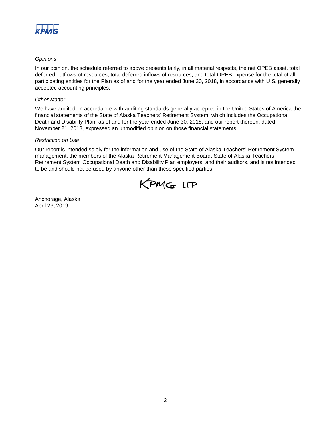

## *Opinions*

In our opinion, the schedule referred to above presents fairly, in all material respects, the net OPEB asset, total deferred outflows of resources, total deferred inflows of resources, and total OPEB expense for the total of all participating entities for the Plan as of and for the year ended June 30, 2018, in accordance with U.S. generally accepted accounting principles.

#### *Other Matter*

We have audited, in accordance with auditing standards generally accepted in the United States of America the financial statements of the State of Alaska Teachers' Retirement System, which includes the Occupational Death and Disability Plan, as of and for the year ended June 30, 2018, and our report thereon, dated November 21, 2018, expressed an unmodified opinion on those financial statements.

#### *Restriction on Use*

Our report is intended solely for the information and use of the State of Alaska Teachers' Retirement System management, the members of the Alaska Retirement Management Board, State of Alaska Teachers' Retirement System Occupational Death and Disability Plan employers, and their auditors, and is not intended to be and should not be used by anyone other than these specified parties.



Anchorage, Alaska April 26, 2019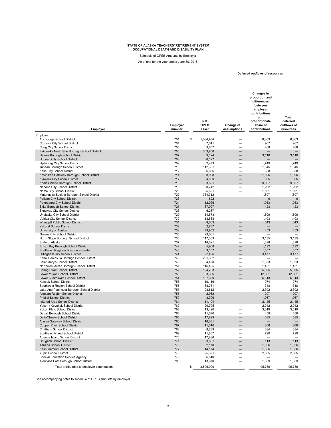Schedule of OPEB Amounts by Employer

As of and for the year ended June 30, 2018

**Deferred outflows of resources** 

| Employer                                                                       | Employer<br>number | Net<br><b>OPEB</b><br>asset | Change of<br>assumptions | <b>Changes in</b><br>proportion and<br>differences<br>between<br>employer<br>contributions<br>and<br>proportionate<br>share of<br>contributions | <b>Total</b><br>deferred<br>outflows of<br>resources |
|--------------------------------------------------------------------------------|--------------------|-----------------------------|--------------------------|-------------------------------------------------------------------------------------------------------------------------------------------------|------------------------------------------------------|
| Employer:                                                                      |                    |                             |                          |                                                                                                                                                 |                                                      |
| Anchorage School District                                                      | 701                | \$<br>1,084,954             |                          | 6,363                                                                                                                                           | 6,363                                                |
| Cordova City School District                                                   | 704                | 7,011                       |                          | 967                                                                                                                                             | 967                                                  |
| Craig City School District                                                     | 705<br>706         | 9,657<br>303,706            | L.<br>—                  | 468                                                                                                                                             | 468                                                  |
| Fairbanks North Star Borough School District<br>Haines Borough School District | 707                | 9,124                       | $\overline{\phantom{0}}$ | 3,110                                                                                                                                           | 3,110                                                |
| Hoonah City School District                                                    | 708                | 6,127                       | ÷,                       |                                                                                                                                                 |                                                      |
| <b>Hydaburg City School District</b>                                           | 709                | 2,473                       | -                        | 1,749                                                                                                                                           | 1,749                                                |
| Juneau Borough School District                                                 | 710                | 112,331                     |                          | 1,345                                                                                                                                           | 1,345                                                |
| Kake City School District                                                      | 712<br>714         | 6,836<br>58.998             |                          | 388                                                                                                                                             | 388                                                  |
| Ketchikan Gateway Borough School District<br>Klawock City School District      | 717                | 4,509                       | $\equiv$                 | 1,396<br>505                                                                                                                                    | 1,396<br>505                                         |
| Kodiak Island Borough School District                                          | 718                | 83,621                      |                          | 9,507                                                                                                                                           | 9,507                                                |
| Nenana City School District                                                    | 719                | 8,742                       |                          | 1,262                                                                                                                                           | 1,262                                                |
| Nome City School District                                                      | 720                | 25,621                      | $\overline{\phantom{0}}$ | 1,591                                                                                                                                           | 1,591                                                |
| Matanuska-Susitna Borough School District                                      | 722                | 384,312                     | L.                       | 1,807                                                                                                                                           | 1,807                                                |
| Pelican City School District<br>Petersburg City School District                | 723<br>724         | 622<br>12,026               |                          | 6<br>1,053                                                                                                                                      | $\,6$<br>1,053                                       |
| Sitka Borough School District                                                  | 727                | 37,097                      |                          | 423                                                                                                                                             | 423                                                  |
| Skagway City School District                                                   | 728                | 6,267                       | —                        |                                                                                                                                                 | $\overline{\phantom{0}}$                             |
| Unalaska City School District                                                  | 729                | 14,573                      | -                        | 1,609                                                                                                                                           | 1,609                                                |
| Valdez City School District                                                    | 730                | 13,638                      |                          | 1,403                                                                                                                                           | 1,403                                                |
| Wrangell Public School District<br>Yakutat School District                     | 731<br>732         | 8,663<br>2,737              | ▃                        | 543                                                                                                                                             | 543                                                  |
| University of Alaska                                                           | 733                | 79,952                      |                          | 453                                                                                                                                             | 453                                                  |
| Galena City School District                                                    | 735                | 23,661                      |                          |                                                                                                                                                 |                                                      |
| North Slope Borough School District                                            | 736                | 117,383                     | $\overline{\phantom{0}}$ | 3,135                                                                                                                                           | 3,135                                                |
| State of Alaska                                                                | 737                | 14,021                      | ÷                        | 1,398                                                                                                                                           | 1,398                                                |
| Bristol Bay Borough School District                                            | 742                | 5,908                       | -                        | 1,192                                                                                                                                           | 1,192                                                |
| Southeast Regional Resource Center<br>Dillingham City School District          | 743<br>744         | 3,107<br>22,496             |                          | 1,557<br>3,477                                                                                                                                  | 1,557<br>3,477                                       |
| Kenai Peninsula Borough School District                                        | 746                | 231,332                     | $\overline{\phantom{0}}$ |                                                                                                                                                 |                                                      |
| Saint Mary's School District                                                   | 748                | 4,428                       |                          | 1,623                                                                                                                                           | 1,623                                                |
| Northwest Arctic Borough School District                                       | 751                | 116,435                     |                          | 1,431                                                                                                                                           | 1,431                                                |
| <b>Bering Strait School District</b>                                           | 752                | 124,703                     | $\overline{\phantom{0}}$ | 5,395                                                                                                                                           | 5,395                                                |
| Lower Yukon School District<br>Lower Kuskokwim School District                 | 753<br>754         | 83,336<br>167,629           | ÷,                       | 12,561<br>6,513                                                                                                                                 | 12,561<br>6,513                                      |
| Kuspuk School District                                                         | 755                | 19,116                      | $\overline{\phantom{0}}$ | 974                                                                                                                                             | 974                                                  |
| Southwest Region School District                                               | 756                | 38,731                      | $\overline{\phantom{0}}$ | 348                                                                                                                                             | 348                                                  |
| Lake And Peninsula Borough School District                                     | 757                | 28,612                      | $\overline{\phantom{0}}$ | 2,302                                                                                                                                           | 2,302                                                |
| Aleutian Region School District                                                | 758                | 2,962                       | $\overline{\phantom{0}}$ | 207                                                                                                                                             | 207                                                  |
| <b>Pribilof School District</b><br>Iditarod Area School District               | 759<br>761         | 3,706<br>11,104             | <u>—</u>                 | 1,067<br>2,145                                                                                                                                  | 1,067<br>2,145                                       |
| Yukon / Koyukuk School District                                                | 762                | 29,795                      | $\overline{\phantom{0}}$ | 2,042                                                                                                                                           | 2,042                                                |
| Yukon Flats School District                                                    | 763                | 13,420                      | $\overline{\phantom{0}}$ | 3,019                                                                                                                                           | 3,019                                                |
| Denali Borough School District                                                 | 764                | 11,570                      | a.                       | 459                                                                                                                                             | 459                                                  |
| Delta/Greely School District                                                   | 765                | 17,799                      | -                        | 585                                                                                                                                             | 585                                                  |
| Alaska Gateway School District<br><b>Copper River School District</b>          | 766<br>767         | 16,031<br>11,610            |                          | 308                                                                                                                                             | 308                                                  |
| Chatham School District                                                        | 768                | 8,289                       |                          | 384                                                                                                                                             | 384                                                  |
| Southeast Island School District                                               | 769                | 11,807                      | $\overline{\phantom{0}}$ | 790                                                                                                                                             | 790                                                  |
| Annette Island School District                                                 | 770                | 17,886                      | $\sim$                   | $\sim$                                                                                                                                          | $\overline{\phantom{a}}$                             |
| Chugach School District                                                        | 771                | 3,681                       | ═                        | 113                                                                                                                                             | 113                                                  |
| <b>Tanana School District</b><br>Kashunamiut School District                   | 775<br>777         | 2,170<br>14,174             |                          | 1,036<br>1,636                                                                                                                                  | 1,036<br>1,636                                       |
| <b>Yupiit School District</b>                                                  | 778                | 25,321                      | $\overline{\phantom{0}}$ | 2,605                                                                                                                                           | 2,605                                                |
| Special Education Service Agency                                               | 779                | 6,510                       | $\overline{\phantom{a}}$ |                                                                                                                                                 |                                                      |
| Aleutians East Borough School District                                         | 780                | 13,670                      |                          | 1,539                                                                                                                                           | 1,539                                                |
| Total attributable to employer contributions                                   |                    | \$<br>3.506.000             |                          | 95.789                                                                                                                                          | 95.789                                               |

See accompanying notes to schedule of OPEB amounts by employer.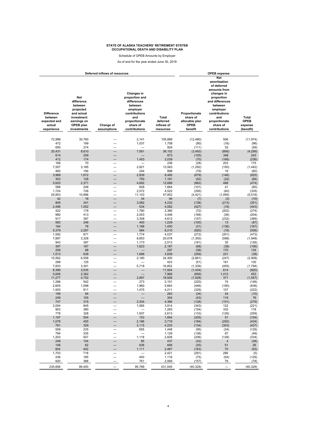Schedule of OPEB Amounts by Employer

As of and for the year ended June 30, 2018

| Net<br>amortization<br>of deferred<br>amounts from<br>Changes in<br>changes in<br>Net<br>proportion and<br>proportion<br>difference<br>differences<br>and differences<br>between<br>between<br>between<br>employer<br>employer<br>projected<br><b>Difference</b><br>contributions<br>Proportionate<br>contributions<br>and actual<br>between<br>and<br>Total<br>share of<br>investment<br>and<br>expected and<br>proportionate<br>deferred<br>allocable plan<br>proportionate<br>earnings on<br><b>OPEB</b><br>actual<br>share of<br>inflows of<br>share of<br>OPEB plan<br>Change of<br>experience<br>investments<br>assumptions<br>contributions<br>resources<br>benefit<br>contributions<br>72,988<br>30,760<br>2,141<br>105,889<br>(12, 480)<br>506<br>472<br>199<br>1,037<br>1,708<br>(80)<br>(16)<br>650<br>274<br>924<br>52<br>(111)<br>7,061<br>36,102<br>20,431<br>8,610<br>$-$<br>(3, 493)<br>(806)<br>259<br>614<br>873<br>(105)<br>348<br>412<br>1,453<br>174<br>2,039<br>(70)<br>(166)<br>166<br>236<br>203<br>70<br>(28)<br>$\overline{\phantom{0}}$<br>3,185<br>2,821<br>7,557<br>13,563<br>(1,292)<br>(150)<br>$\overline{\phantom{0}}$<br>460<br>194<br>244<br>898<br>(79)<br>19<br>3,969<br>1,672<br>2,839<br>8,480<br>(679)<br>(146)<br>303<br>128<br>750<br>1,181<br>(32)<br>(52)<br>5,625<br>488<br>2,371<br>4,692<br>12,688<br>(962)<br>828<br>588<br>248<br>(101)<br>41<br>1,664<br>726<br>1,724<br>2,072<br>4,522<br>(295)<br>(40)<br>$\overline{\phantom{0}}$<br>11,103<br>47,852<br>25,853<br>10,896<br>(4, 421)<br>(1,095)<br>42<br>18<br>34<br>94<br>(3)<br>(7)<br>809<br>341<br>3,082<br>4,232<br>(138)<br>(213)<br>2,496<br>1,052<br>534<br>4,082<br>(427)<br>(16)<br>422<br>178<br>1,780<br>2,380<br>(72)<br>(202)<br>980<br>413<br>2,053<br>3,446<br>(168)<br>(36)<br>917<br>387<br>3,308<br>4,612<br>(157)<br>(232)<br>-<br>583<br>400<br>246<br>$\overline{\phantom{0}}$<br>1,229<br>(100)<br>13<br>184<br>78<br>1,188<br>1,450<br>(31)<br>(136)<br>-<br>5,379<br>2,267<br>564<br>8,210<br>(920)<br>(16)<br>1,592<br>671<br>1,774<br>4,037<br>(272)<br>(201)<br>7,897<br>3,328<br>8,853<br>20,078<br>(1, 350)<br>(598)<br>$\overline{\phantom{0}}$<br>943<br>397<br>35<br>1,173<br>2,513<br>(161)<br>397<br>167<br>1,623<br>2,187<br>(68)<br>(38)<br>209<br>88<br>297<br>(36)<br>170<br>638<br>1,688<br>221<br>1,513<br>3,839<br>(259)<br>–<br>15,562<br>6,558<br>2,180<br>24,300<br>(2,661)<br>(247)<br>-<br>298<br>125<br>423<br>(51)<br>181<br>$\overline{\phantom{0}}$<br>-<br>7,833<br>3,301<br>5,718<br>16,852<br>(1, 339)<br>(455)<br>8,389<br>3,535<br>11,924<br>(1, 434)<br>614<br>5,606<br>7,968<br>1,412<br>2,362<br>(959)<br>2,897<br>371<br>11,277<br>4,752<br>18,926<br>(1,928)<br>1,286<br>542<br>273<br>2,101<br>74<br>(220)<br>1,098<br>2,605<br>1,960<br>5,663<br>(446)<br>(190)<br>1,925<br>107<br>811<br>1,475<br>4,211<br>(329)<br>-<br>199<br>84<br>283<br>(34)<br>24<br>$\overline{\phantom{0}}$<br>249<br>105<br>354<br>(43)<br>119<br>747<br>315<br>3,304<br>4,366<br>(128)<br>(151)<br>2,004<br>845<br>1,065<br>3,914<br>(343)<br>122<br>380<br>903<br>1,283<br>(154)<br>332<br>328<br>1,507<br>778<br>2,613<br>(133)<br>(126)<br>1,197<br>504<br>153<br>51<br>1,854<br>(205)<br>1,078<br>455<br>2,186<br>3,719<br>(250)<br>(184)<br>781<br>329<br>4,225<br>3,115<br>(134)<br>(303)<br>558<br>235<br>655<br>1,448<br>(95)<br>(34)<br>794<br>335<br>1,129<br>(136)<br>87<br>—<br>1,118<br>1,203<br>507<br>2,828<br>(206)<br>(128)<br>248<br>104<br>85<br>437<br>(42)<br>$\overline{4}$<br>51<br>146<br>62<br>638<br>846<br>(25)<br>954<br>402<br>70<br>1,111<br>2,467<br>(163)<br>1,703<br>286<br>718<br>2,421<br>(291)<br>$\overline{\phantom{0}}$<br>438<br>493<br>185<br>1,116<br>(75)<br>(54)<br>—<br>920<br>388<br>761<br>2,069<br>(157)<br>79 |  | Deferred inflows of resources |  | <b>OPEB</b> expense |                                              |
|----------------------------------------------------------------------------------------------------------------------------------------------------------------------------------------------------------------------------------------------------------------------------------------------------------------------------------------------------------------------------------------------------------------------------------------------------------------------------------------------------------------------------------------------------------------------------------------------------------------------------------------------------------------------------------------------------------------------------------------------------------------------------------------------------------------------------------------------------------------------------------------------------------------------------------------------------------------------------------------------------------------------------------------------------------------------------------------------------------------------------------------------------------------------------------------------------------------------------------------------------------------------------------------------------------------------------------------------------------------------------------------------------------------------------------------------------------------------------------------------------------------------------------------------------------------------------------------------------------------------------------------------------------------------------------------------------------------------------------------------------------------------------------------------------------------------------------------------------------------------------------------------------------------------------------------------------------------------------------------------------------------------------------------------------------------------------------------------------------------------------------------------------------------------------------------------------------------------------------------------------------------------------------------------------------------------------------------------------------------------------------------------------------------------------------------------------------------------------------------------------------------------------------------------------------------------------------------------------------------------------------------------------------------------------------------------------------------------------------------------------------------------------------------------------------------------------------------------------------------------------------------------------------------------------------------------------------------------------------------------------------------------------------------------------------------------------------------------------------------------------------------------------------------------------------------------------------------------------------------------------------------------------------------------------------------------------------------------------------------------------------------------------------------------------------------------------------------------------------------------------------------------------------------------------------------------------------------------------------------------------------------------------------------------------------------------------------------------------------------------------------------------------------------------------------------|--|-------------------------------|--|---------------------|----------------------------------------------|
|                                                                                                                                                                                                                                                                                                                                                                                                                                                                                                                                                                                                                                                                                                                                                                                                                                                                                                                                                                                                                                                                                                                                                                                                                                                                                                                                                                                                                                                                                                                                                                                                                                                                                                                                                                                                                                                                                                                                                                                                                                                                                                                                                                                                                                                                                                                                                                                                                                                                                                                                                                                                                                                                                                                                                                                                                                                                                                                                                                                                                                                                                                                                                                                                                                                                                                                                                                                                                                                                                                                                                                                                                                                                                                                                                                                                                |  |                               |  |                     | Total<br><b>OPEB</b><br>expense<br>(benefit) |
|                                                                                                                                                                                                                                                                                                                                                                                                                                                                                                                                                                                                                                                                                                                                                                                                                                                                                                                                                                                                                                                                                                                                                                                                                                                                                                                                                                                                                                                                                                                                                                                                                                                                                                                                                                                                                                                                                                                                                                                                                                                                                                                                                                                                                                                                                                                                                                                                                                                                                                                                                                                                                                                                                                                                                                                                                                                                                                                                                                                                                                                                                                                                                                                                                                                                                                                                                                                                                                                                                                                                                                                                                                                                                                                                                                                                                |  |                               |  |                     | (11, 974)                                    |
|                                                                                                                                                                                                                                                                                                                                                                                                                                                                                                                                                                                                                                                                                                                                                                                                                                                                                                                                                                                                                                                                                                                                                                                                                                                                                                                                                                                                                                                                                                                                                                                                                                                                                                                                                                                                                                                                                                                                                                                                                                                                                                                                                                                                                                                                                                                                                                                                                                                                                                                                                                                                                                                                                                                                                                                                                                                                                                                                                                                                                                                                                                                                                                                                                                                                                                                                                                                                                                                                                                                                                                                                                                                                                                                                                                                                                |  |                               |  |                     | (96)                                         |
|                                                                                                                                                                                                                                                                                                                                                                                                                                                                                                                                                                                                                                                                                                                                                                                                                                                                                                                                                                                                                                                                                                                                                                                                                                                                                                                                                                                                                                                                                                                                                                                                                                                                                                                                                                                                                                                                                                                                                                                                                                                                                                                                                                                                                                                                                                                                                                                                                                                                                                                                                                                                                                                                                                                                                                                                                                                                                                                                                                                                                                                                                                                                                                                                                                                                                                                                                                                                                                                                                                                                                                                                                                                                                                                                                                                                                |  |                               |  |                     | (59)                                         |
|                                                                                                                                                                                                                                                                                                                                                                                                                                                                                                                                                                                                                                                                                                                                                                                                                                                                                                                                                                                                                                                                                                                                                                                                                                                                                                                                                                                                                                                                                                                                                                                                                                                                                                                                                                                                                                                                                                                                                                                                                                                                                                                                                                                                                                                                                                                                                                                                                                                                                                                                                                                                                                                                                                                                                                                                                                                                                                                                                                                                                                                                                                                                                                                                                                                                                                                                                                                                                                                                                                                                                                                                                                                                                                                                                                                                                |  |                               |  |                     | (4, 299)<br>243                              |
|                                                                                                                                                                                                                                                                                                                                                                                                                                                                                                                                                                                                                                                                                                                                                                                                                                                                                                                                                                                                                                                                                                                                                                                                                                                                                                                                                                                                                                                                                                                                                                                                                                                                                                                                                                                                                                                                                                                                                                                                                                                                                                                                                                                                                                                                                                                                                                                                                                                                                                                                                                                                                                                                                                                                                                                                                                                                                                                                                                                                                                                                                                                                                                                                                                                                                                                                                                                                                                                                                                                                                                                                                                                                                                                                                                                                                |  |                               |  |                     | (236)                                        |
|                                                                                                                                                                                                                                                                                                                                                                                                                                                                                                                                                                                                                                                                                                                                                                                                                                                                                                                                                                                                                                                                                                                                                                                                                                                                                                                                                                                                                                                                                                                                                                                                                                                                                                                                                                                                                                                                                                                                                                                                                                                                                                                                                                                                                                                                                                                                                                                                                                                                                                                                                                                                                                                                                                                                                                                                                                                                                                                                                                                                                                                                                                                                                                                                                                                                                                                                                                                                                                                                                                                                                                                                                                                                                                                                                                                                                |  |                               |  |                     | 175                                          |
|                                                                                                                                                                                                                                                                                                                                                                                                                                                                                                                                                                                                                                                                                                                                                                                                                                                                                                                                                                                                                                                                                                                                                                                                                                                                                                                                                                                                                                                                                                                                                                                                                                                                                                                                                                                                                                                                                                                                                                                                                                                                                                                                                                                                                                                                                                                                                                                                                                                                                                                                                                                                                                                                                                                                                                                                                                                                                                                                                                                                                                                                                                                                                                                                                                                                                                                                                                                                                                                                                                                                                                                                                                                                                                                                                                                                                |  |                               |  |                     | (1, 442)                                     |
|                                                                                                                                                                                                                                                                                                                                                                                                                                                                                                                                                                                                                                                                                                                                                                                                                                                                                                                                                                                                                                                                                                                                                                                                                                                                                                                                                                                                                                                                                                                                                                                                                                                                                                                                                                                                                                                                                                                                                                                                                                                                                                                                                                                                                                                                                                                                                                                                                                                                                                                                                                                                                                                                                                                                                                                                                                                                                                                                                                                                                                                                                                                                                                                                                                                                                                                                                                                                                                                                                                                                                                                                                                                                                                                                                                                                                |  |                               |  |                     | (60)                                         |
|                                                                                                                                                                                                                                                                                                                                                                                                                                                                                                                                                                                                                                                                                                                                                                                                                                                                                                                                                                                                                                                                                                                                                                                                                                                                                                                                                                                                                                                                                                                                                                                                                                                                                                                                                                                                                                                                                                                                                                                                                                                                                                                                                                                                                                                                                                                                                                                                                                                                                                                                                                                                                                                                                                                                                                                                                                                                                                                                                                                                                                                                                                                                                                                                                                                                                                                                                                                                                                                                                                                                                                                                                                                                                                                                                                                                                |  |                               |  |                     | (825)<br>(84)                                |
|                                                                                                                                                                                                                                                                                                                                                                                                                                                                                                                                                                                                                                                                                                                                                                                                                                                                                                                                                                                                                                                                                                                                                                                                                                                                                                                                                                                                                                                                                                                                                                                                                                                                                                                                                                                                                                                                                                                                                                                                                                                                                                                                                                                                                                                                                                                                                                                                                                                                                                                                                                                                                                                                                                                                                                                                                                                                                                                                                                                                                                                                                                                                                                                                                                                                                                                                                                                                                                                                                                                                                                                                                                                                                                                                                                                                                |  |                               |  |                     | (474)                                        |
|                                                                                                                                                                                                                                                                                                                                                                                                                                                                                                                                                                                                                                                                                                                                                                                                                                                                                                                                                                                                                                                                                                                                                                                                                                                                                                                                                                                                                                                                                                                                                                                                                                                                                                                                                                                                                                                                                                                                                                                                                                                                                                                                                                                                                                                                                                                                                                                                                                                                                                                                                                                                                                                                                                                                                                                                                                                                                                                                                                                                                                                                                                                                                                                                                                                                                                                                                                                                                                                                                                                                                                                                                                                                                                                                                                                                                |  |                               |  |                     | (60)                                         |
|                                                                                                                                                                                                                                                                                                                                                                                                                                                                                                                                                                                                                                                                                                                                                                                                                                                                                                                                                                                                                                                                                                                                                                                                                                                                                                                                                                                                                                                                                                                                                                                                                                                                                                                                                                                                                                                                                                                                                                                                                                                                                                                                                                                                                                                                                                                                                                                                                                                                                                                                                                                                                                                                                                                                                                                                                                                                                                                                                                                                                                                                                                                                                                                                                                                                                                                                                                                                                                                                                                                                                                                                                                                                                                                                                                                                                |  |                               |  |                     | (335)                                        |
|                                                                                                                                                                                                                                                                                                                                                                                                                                                                                                                                                                                                                                                                                                                                                                                                                                                                                                                                                                                                                                                                                                                                                                                                                                                                                                                                                                                                                                                                                                                                                                                                                                                                                                                                                                                                                                                                                                                                                                                                                                                                                                                                                                                                                                                                                                                                                                                                                                                                                                                                                                                                                                                                                                                                                                                                                                                                                                                                                                                                                                                                                                                                                                                                                                                                                                                                                                                                                                                                                                                                                                                                                                                                                                                                                                                                                |  |                               |  |                     | (5, 516)                                     |
|                                                                                                                                                                                                                                                                                                                                                                                                                                                                                                                                                                                                                                                                                                                                                                                                                                                                                                                                                                                                                                                                                                                                                                                                                                                                                                                                                                                                                                                                                                                                                                                                                                                                                                                                                                                                                                                                                                                                                                                                                                                                                                                                                                                                                                                                                                                                                                                                                                                                                                                                                                                                                                                                                                                                                                                                                                                                                                                                                                                                                                                                                                                                                                                                                                                                                                                                                                                                                                                                                                                                                                                                                                                                                                                                                                                                                |  |                               |  |                     | (10)<br>(351)                                |
|                                                                                                                                                                                                                                                                                                                                                                                                                                                                                                                                                                                                                                                                                                                                                                                                                                                                                                                                                                                                                                                                                                                                                                                                                                                                                                                                                                                                                                                                                                                                                                                                                                                                                                                                                                                                                                                                                                                                                                                                                                                                                                                                                                                                                                                                                                                                                                                                                                                                                                                                                                                                                                                                                                                                                                                                                                                                                                                                                                                                                                                                                                                                                                                                                                                                                                                                                                                                                                                                                                                                                                                                                                                                                                                                                                                                                |  |                               |  |                     | (443)                                        |
|                                                                                                                                                                                                                                                                                                                                                                                                                                                                                                                                                                                                                                                                                                                                                                                                                                                                                                                                                                                                                                                                                                                                                                                                                                                                                                                                                                                                                                                                                                                                                                                                                                                                                                                                                                                                                                                                                                                                                                                                                                                                                                                                                                                                                                                                                                                                                                                                                                                                                                                                                                                                                                                                                                                                                                                                                                                                                                                                                                                                                                                                                                                                                                                                                                                                                                                                                                                                                                                                                                                                                                                                                                                                                                                                                                                                                |  |                               |  |                     | (274)                                        |
|                                                                                                                                                                                                                                                                                                                                                                                                                                                                                                                                                                                                                                                                                                                                                                                                                                                                                                                                                                                                                                                                                                                                                                                                                                                                                                                                                                                                                                                                                                                                                                                                                                                                                                                                                                                                                                                                                                                                                                                                                                                                                                                                                                                                                                                                                                                                                                                                                                                                                                                                                                                                                                                                                                                                                                                                                                                                                                                                                                                                                                                                                                                                                                                                                                                                                                                                                                                                                                                                                                                                                                                                                                                                                                                                                                                                                |  |                               |  |                     | (204)                                        |
|                                                                                                                                                                                                                                                                                                                                                                                                                                                                                                                                                                                                                                                                                                                                                                                                                                                                                                                                                                                                                                                                                                                                                                                                                                                                                                                                                                                                                                                                                                                                                                                                                                                                                                                                                                                                                                                                                                                                                                                                                                                                                                                                                                                                                                                                                                                                                                                                                                                                                                                                                                                                                                                                                                                                                                                                                                                                                                                                                                                                                                                                                                                                                                                                                                                                                                                                                                                                                                                                                                                                                                                                                                                                                                                                                                                                                |  |                               |  |                     | (389)                                        |
|                                                                                                                                                                                                                                                                                                                                                                                                                                                                                                                                                                                                                                                                                                                                                                                                                                                                                                                                                                                                                                                                                                                                                                                                                                                                                                                                                                                                                                                                                                                                                                                                                                                                                                                                                                                                                                                                                                                                                                                                                                                                                                                                                                                                                                                                                                                                                                                                                                                                                                                                                                                                                                                                                                                                                                                                                                                                                                                                                                                                                                                                                                                                                                                                                                                                                                                                                                                                                                                                                                                                                                                                                                                                                                                                                                                                                |  |                               |  |                     | (87)<br>(167)                                |
|                                                                                                                                                                                                                                                                                                                                                                                                                                                                                                                                                                                                                                                                                                                                                                                                                                                                                                                                                                                                                                                                                                                                                                                                                                                                                                                                                                                                                                                                                                                                                                                                                                                                                                                                                                                                                                                                                                                                                                                                                                                                                                                                                                                                                                                                                                                                                                                                                                                                                                                                                                                                                                                                                                                                                                                                                                                                                                                                                                                                                                                                                                                                                                                                                                                                                                                                                                                                                                                                                                                                                                                                                                                                                                                                                                                                                |  |                               |  |                     | (936)                                        |
|                                                                                                                                                                                                                                                                                                                                                                                                                                                                                                                                                                                                                                                                                                                                                                                                                                                                                                                                                                                                                                                                                                                                                                                                                                                                                                                                                                                                                                                                                                                                                                                                                                                                                                                                                                                                                                                                                                                                                                                                                                                                                                                                                                                                                                                                                                                                                                                                                                                                                                                                                                                                                                                                                                                                                                                                                                                                                                                                                                                                                                                                                                                                                                                                                                                                                                                                                                                                                                                                                                                                                                                                                                                                                                                                                                                                                |  |                               |  |                     | (473)                                        |
|                                                                                                                                                                                                                                                                                                                                                                                                                                                                                                                                                                                                                                                                                                                                                                                                                                                                                                                                                                                                                                                                                                                                                                                                                                                                                                                                                                                                                                                                                                                                                                                                                                                                                                                                                                                                                                                                                                                                                                                                                                                                                                                                                                                                                                                                                                                                                                                                                                                                                                                                                                                                                                                                                                                                                                                                                                                                                                                                                                                                                                                                                                                                                                                                                                                                                                                                                                                                                                                                                                                                                                                                                                                                                                                                                                                                                |  |                               |  |                     | (1,948)                                      |
|                                                                                                                                                                                                                                                                                                                                                                                                                                                                                                                                                                                                                                                                                                                                                                                                                                                                                                                                                                                                                                                                                                                                                                                                                                                                                                                                                                                                                                                                                                                                                                                                                                                                                                                                                                                                                                                                                                                                                                                                                                                                                                                                                                                                                                                                                                                                                                                                                                                                                                                                                                                                                                                                                                                                                                                                                                                                                                                                                                                                                                                                                                                                                                                                                                                                                                                                                                                                                                                                                                                                                                                                                                                                                                                                                                                                                |  |                               |  |                     | (126)                                        |
|                                                                                                                                                                                                                                                                                                                                                                                                                                                                                                                                                                                                                                                                                                                                                                                                                                                                                                                                                                                                                                                                                                                                                                                                                                                                                                                                                                                                                                                                                                                                                                                                                                                                                                                                                                                                                                                                                                                                                                                                                                                                                                                                                                                                                                                                                                                                                                                                                                                                                                                                                                                                                                                                                                                                                                                                                                                                                                                                                                                                                                                                                                                                                                                                                                                                                                                                                                                                                                                                                                                                                                                                                                                                                                                                                                                                                |  |                               |  |                     | (106)<br>134                                 |
|                                                                                                                                                                                                                                                                                                                                                                                                                                                                                                                                                                                                                                                                                                                                                                                                                                                                                                                                                                                                                                                                                                                                                                                                                                                                                                                                                                                                                                                                                                                                                                                                                                                                                                                                                                                                                                                                                                                                                                                                                                                                                                                                                                                                                                                                                                                                                                                                                                                                                                                                                                                                                                                                                                                                                                                                                                                                                                                                                                                                                                                                                                                                                                                                                                                                                                                                                                                                                                                                                                                                                                                                                                                                                                                                                                                                                |  |                               |  |                     | (38)                                         |
|                                                                                                                                                                                                                                                                                                                                                                                                                                                                                                                                                                                                                                                                                                                                                                                                                                                                                                                                                                                                                                                                                                                                                                                                                                                                                                                                                                                                                                                                                                                                                                                                                                                                                                                                                                                                                                                                                                                                                                                                                                                                                                                                                                                                                                                                                                                                                                                                                                                                                                                                                                                                                                                                                                                                                                                                                                                                                                                                                                                                                                                                                                                                                                                                                                                                                                                                                                                                                                                                                                                                                                                                                                                                                                                                                                                                                |  |                               |  |                     | (2,908)                                      |
|                                                                                                                                                                                                                                                                                                                                                                                                                                                                                                                                                                                                                                                                                                                                                                                                                                                                                                                                                                                                                                                                                                                                                                                                                                                                                                                                                                                                                                                                                                                                                                                                                                                                                                                                                                                                                                                                                                                                                                                                                                                                                                                                                                                                                                                                                                                                                                                                                                                                                                                                                                                                                                                                                                                                                                                                                                                                                                                                                                                                                                                                                                                                                                                                                                                                                                                                                                                                                                                                                                                                                                                                                                                                                                                                                                                                                |  |                               |  |                     | 130                                          |
|                                                                                                                                                                                                                                                                                                                                                                                                                                                                                                                                                                                                                                                                                                                                                                                                                                                                                                                                                                                                                                                                                                                                                                                                                                                                                                                                                                                                                                                                                                                                                                                                                                                                                                                                                                                                                                                                                                                                                                                                                                                                                                                                                                                                                                                                                                                                                                                                                                                                                                                                                                                                                                                                                                                                                                                                                                                                                                                                                                                                                                                                                                                                                                                                                                                                                                                                                                                                                                                                                                                                                                                                                                                                                                                                                                                                                |  |                               |  |                     | (1, 794)                                     |
|                                                                                                                                                                                                                                                                                                                                                                                                                                                                                                                                                                                                                                                                                                                                                                                                                                                                                                                                                                                                                                                                                                                                                                                                                                                                                                                                                                                                                                                                                                                                                                                                                                                                                                                                                                                                                                                                                                                                                                                                                                                                                                                                                                                                                                                                                                                                                                                                                                                                                                                                                                                                                                                                                                                                                                                                                                                                                                                                                                                                                                                                                                                                                                                                                                                                                                                                                                                                                                                                                                                                                                                                                                                                                                                                                                                                                |  |                               |  |                     | (820)<br>453                                 |
|                                                                                                                                                                                                                                                                                                                                                                                                                                                                                                                                                                                                                                                                                                                                                                                                                                                                                                                                                                                                                                                                                                                                                                                                                                                                                                                                                                                                                                                                                                                                                                                                                                                                                                                                                                                                                                                                                                                                                                                                                                                                                                                                                                                                                                                                                                                                                                                                                                                                                                                                                                                                                                                                                                                                                                                                                                                                                                                                                                                                                                                                                                                                                                                                                                                                                                                                                                                                                                                                                                                                                                                                                                                                                                                                                                                                                |  |                               |  |                     | (1, 557)                                     |
|                                                                                                                                                                                                                                                                                                                                                                                                                                                                                                                                                                                                                                                                                                                                                                                                                                                                                                                                                                                                                                                                                                                                                                                                                                                                                                                                                                                                                                                                                                                                                                                                                                                                                                                                                                                                                                                                                                                                                                                                                                                                                                                                                                                                                                                                                                                                                                                                                                                                                                                                                                                                                                                                                                                                                                                                                                                                                                                                                                                                                                                                                                                                                                                                                                                                                                                                                                                                                                                                                                                                                                                                                                                                                                                                                                                                                |  |                               |  |                     | (146)                                        |
|                                                                                                                                                                                                                                                                                                                                                                                                                                                                                                                                                                                                                                                                                                                                                                                                                                                                                                                                                                                                                                                                                                                                                                                                                                                                                                                                                                                                                                                                                                                                                                                                                                                                                                                                                                                                                                                                                                                                                                                                                                                                                                                                                                                                                                                                                                                                                                                                                                                                                                                                                                                                                                                                                                                                                                                                                                                                                                                                                                                                                                                                                                                                                                                                                                                                                                                                                                                                                                                                                                                                                                                                                                                                                                                                                                                                                |  |                               |  |                     | (636)                                        |
|                                                                                                                                                                                                                                                                                                                                                                                                                                                                                                                                                                                                                                                                                                                                                                                                                                                                                                                                                                                                                                                                                                                                                                                                                                                                                                                                                                                                                                                                                                                                                                                                                                                                                                                                                                                                                                                                                                                                                                                                                                                                                                                                                                                                                                                                                                                                                                                                                                                                                                                                                                                                                                                                                                                                                                                                                                                                                                                                                                                                                                                                                                                                                                                                                                                                                                                                                                                                                                                                                                                                                                                                                                                                                                                                                                                                                |  |                               |  |                     | (222)<br>(10)                                |
|                                                                                                                                                                                                                                                                                                                                                                                                                                                                                                                                                                                                                                                                                                                                                                                                                                                                                                                                                                                                                                                                                                                                                                                                                                                                                                                                                                                                                                                                                                                                                                                                                                                                                                                                                                                                                                                                                                                                                                                                                                                                                                                                                                                                                                                                                                                                                                                                                                                                                                                                                                                                                                                                                                                                                                                                                                                                                                                                                                                                                                                                                                                                                                                                                                                                                                                                                                                                                                                                                                                                                                                                                                                                                                                                                                                                                |  |                               |  |                     | 76                                           |
|                                                                                                                                                                                                                                                                                                                                                                                                                                                                                                                                                                                                                                                                                                                                                                                                                                                                                                                                                                                                                                                                                                                                                                                                                                                                                                                                                                                                                                                                                                                                                                                                                                                                                                                                                                                                                                                                                                                                                                                                                                                                                                                                                                                                                                                                                                                                                                                                                                                                                                                                                                                                                                                                                                                                                                                                                                                                                                                                                                                                                                                                                                                                                                                                                                                                                                                                                                                                                                                                                                                                                                                                                                                                                                                                                                                                                |  |                               |  |                     | (279)                                        |
|                                                                                                                                                                                                                                                                                                                                                                                                                                                                                                                                                                                                                                                                                                                                                                                                                                                                                                                                                                                                                                                                                                                                                                                                                                                                                                                                                                                                                                                                                                                                                                                                                                                                                                                                                                                                                                                                                                                                                                                                                                                                                                                                                                                                                                                                                                                                                                                                                                                                                                                                                                                                                                                                                                                                                                                                                                                                                                                                                                                                                                                                                                                                                                                                                                                                                                                                                                                                                                                                                                                                                                                                                                                                                                                                                                                                                |  |                               |  |                     | (221)                                        |
|                                                                                                                                                                                                                                                                                                                                                                                                                                                                                                                                                                                                                                                                                                                                                                                                                                                                                                                                                                                                                                                                                                                                                                                                                                                                                                                                                                                                                                                                                                                                                                                                                                                                                                                                                                                                                                                                                                                                                                                                                                                                                                                                                                                                                                                                                                                                                                                                                                                                                                                                                                                                                                                                                                                                                                                                                                                                                                                                                                                                                                                                                                                                                                                                                                                                                                                                                                                                                                                                                                                                                                                                                                                                                                                                                                                                                |  |                               |  |                     | 178<br>(259)                                 |
|                                                                                                                                                                                                                                                                                                                                                                                                                                                                                                                                                                                                                                                                                                                                                                                                                                                                                                                                                                                                                                                                                                                                                                                                                                                                                                                                                                                                                                                                                                                                                                                                                                                                                                                                                                                                                                                                                                                                                                                                                                                                                                                                                                                                                                                                                                                                                                                                                                                                                                                                                                                                                                                                                                                                                                                                                                                                                                                                                                                                                                                                                                                                                                                                                                                                                                                                                                                                                                                                                                                                                                                                                                                                                                                                                                                                                |  |                               |  |                     | (154)                                        |
|                                                                                                                                                                                                                                                                                                                                                                                                                                                                                                                                                                                                                                                                                                                                                                                                                                                                                                                                                                                                                                                                                                                                                                                                                                                                                                                                                                                                                                                                                                                                                                                                                                                                                                                                                                                                                                                                                                                                                                                                                                                                                                                                                                                                                                                                                                                                                                                                                                                                                                                                                                                                                                                                                                                                                                                                                                                                                                                                                                                                                                                                                                                                                                                                                                                                                                                                                                                                                                                                                                                                                                                                                                                                                                                                                                                                                |  |                               |  |                     | (434)                                        |
|                                                                                                                                                                                                                                                                                                                                                                                                                                                                                                                                                                                                                                                                                                                                                                                                                                                                                                                                                                                                                                                                                                                                                                                                                                                                                                                                                                                                                                                                                                                                                                                                                                                                                                                                                                                                                                                                                                                                                                                                                                                                                                                                                                                                                                                                                                                                                                                                                                                                                                                                                                                                                                                                                                                                                                                                                                                                                                                                                                                                                                                                                                                                                                                                                                                                                                                                                                                                                                                                                                                                                                                                                                                                                                                                                                                                                |  |                               |  |                     | (437)                                        |
|                                                                                                                                                                                                                                                                                                                                                                                                                                                                                                                                                                                                                                                                                                                                                                                                                                                                                                                                                                                                                                                                                                                                                                                                                                                                                                                                                                                                                                                                                                                                                                                                                                                                                                                                                                                                                                                                                                                                                                                                                                                                                                                                                                                                                                                                                                                                                                                                                                                                                                                                                                                                                                                                                                                                                                                                                                                                                                                                                                                                                                                                                                                                                                                                                                                                                                                                                                                                                                                                                                                                                                                                                                                                                                                                                                                                                |  |                               |  |                     | (129)                                        |
|                                                                                                                                                                                                                                                                                                                                                                                                                                                                                                                                                                                                                                                                                                                                                                                                                                                                                                                                                                                                                                                                                                                                                                                                                                                                                                                                                                                                                                                                                                                                                                                                                                                                                                                                                                                                                                                                                                                                                                                                                                                                                                                                                                                                                                                                                                                                                                                                                                                                                                                                                                                                                                                                                                                                                                                                                                                                                                                                                                                                                                                                                                                                                                                                                                                                                                                                                                                                                                                                                                                                                                                                                                                                                                                                                                                                                |  |                               |  |                     | (49)<br>(334)                                |
|                                                                                                                                                                                                                                                                                                                                                                                                                                                                                                                                                                                                                                                                                                                                                                                                                                                                                                                                                                                                                                                                                                                                                                                                                                                                                                                                                                                                                                                                                                                                                                                                                                                                                                                                                                                                                                                                                                                                                                                                                                                                                                                                                                                                                                                                                                                                                                                                                                                                                                                                                                                                                                                                                                                                                                                                                                                                                                                                                                                                                                                                                                                                                                                                                                                                                                                                                                                                                                                                                                                                                                                                                                                                                                                                                                                                                |  |                               |  |                     | (38)                                         |
|                                                                                                                                                                                                                                                                                                                                                                                                                                                                                                                                                                                                                                                                                                                                                                                                                                                                                                                                                                                                                                                                                                                                                                                                                                                                                                                                                                                                                                                                                                                                                                                                                                                                                                                                                                                                                                                                                                                                                                                                                                                                                                                                                                                                                                                                                                                                                                                                                                                                                                                                                                                                                                                                                                                                                                                                                                                                                                                                                                                                                                                                                                                                                                                                                                                                                                                                                                                                                                                                                                                                                                                                                                                                                                                                                                                                                |  |                               |  |                     | 26                                           |
|                                                                                                                                                                                                                                                                                                                                                                                                                                                                                                                                                                                                                                                                                                                                                                                                                                                                                                                                                                                                                                                                                                                                                                                                                                                                                                                                                                                                                                                                                                                                                                                                                                                                                                                                                                                                                                                                                                                                                                                                                                                                                                                                                                                                                                                                                                                                                                                                                                                                                                                                                                                                                                                                                                                                                                                                                                                                                                                                                                                                                                                                                                                                                                                                                                                                                                                                                                                                                                                                                                                                                                                                                                                                                                                                                                                                                |  |                               |  |                     | (93)                                         |
|                                                                                                                                                                                                                                                                                                                                                                                                                                                                                                                                                                                                                                                                                                                                                                                                                                                                                                                                                                                                                                                                                                                                                                                                                                                                                                                                                                                                                                                                                                                                                                                                                                                                                                                                                                                                                                                                                                                                                                                                                                                                                                                                                                                                                                                                                                                                                                                                                                                                                                                                                                                                                                                                                                                                                                                                                                                                                                                                                                                                                                                                                                                                                                                                                                                                                                                                                                                                                                                                                                                                                                                                                                                                                                                                                                                                                |  |                               |  |                     | (5)                                          |
|                                                                                                                                                                                                                                                                                                                                                                                                                                                                                                                                                                                                                                                                                                                                                                                                                                                                                                                                                                                                                                                                                                                                                                                                                                                                                                                                                                                                                                                                                                                                                                                                                                                                                                                                                                                                                                                                                                                                                                                                                                                                                                                                                                                                                                                                                                                                                                                                                                                                                                                                                                                                                                                                                                                                                                                                                                                                                                                                                                                                                                                                                                                                                                                                                                                                                                                                                                                                                                                                                                                                                                                                                                                                                                                                                                                                                |  |                               |  |                     | (129)<br>(78)                                |
| $\overline{\phantom{0}}$<br>235,856<br>99,400<br>95,789<br>431,045<br>(40, 329)                                                                                                                                                                                                                                                                                                                                                                                                                                                                                                                                                                                                                                                                                                                                                                                                                                                                                                                                                                                                                                                                                                                                                                                                                                                                                                                                                                                                                                                                                                                                                                                                                                                                                                                                                                                                                                                                                                                                                                                                                                                                                                                                                                                                                                                                                                                                                                                                                                                                                                                                                                                                                                                                                                                                                                                                                                                                                                                                                                                                                                                                                                                                                                                                                                                                                                                                                                                                                                                                                                                                                                                                                                                                                                                                |  |                               |  |                     | (40, 329)                                    |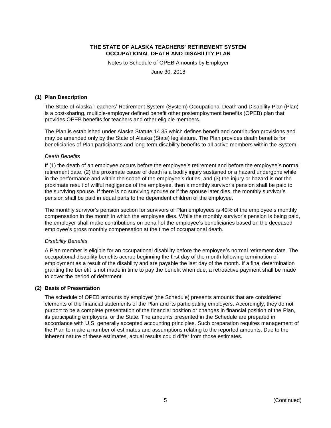Notes to Schedule of OPEB Amounts by Employer

June 30, 2018

#### **(1) Plan Description**

The State of Alaska Teachers' Retirement System (System) Occupational Death and Disability Plan (Plan) is a cost-sharing, multiple-employer defined benefit other postemployment benefits (OPEB) plan that provides OPEB benefits for teachers and other eligible members.

The Plan is established under Alaska Statute 14.35 which defines benefit and contribution provisions and may be amended only by the State of Alaska (State) legislature. The Plan provides death benefits for beneficiaries of Plan participants and long-term disability benefits to all active members within the System.

#### *Death Benefits*

If (1) the death of an employee occurs before the employee's retirement and before the employee's normal retirement date, (2) the proximate cause of death is a bodily injury sustained or a hazard undergone while in the performance and within the scope of the employee's duties, and (3) the injury or hazard is not the proximate result of willful negligence of the employee, then a monthly survivor's pension shall be paid to the surviving spouse. If there is no surviving spouse or if the spouse later dies, the monthly survivor's pension shall be paid in equal parts to the dependent children of the employee.

The monthly survivor's pension section for survivors of Plan employees is 40% of the employee's monthly compensation in the month in which the employee dies. While the monthly survivor's pension is being paid, the employer shall make contributions on behalf of the employee's beneficiaries based on the deceased employee's gross monthly compensation at the time of occupational death.

#### *Disability Benefits*

A Plan member is eligible for an occupational disability before the employee's normal retirement date. The occupational disability benefits accrue beginning the first day of the month following termination of employment as a result of the disability and are payable the last day of the month. If a final determination granting the benefit is not made in time to pay the benefit when due, a retroactive payment shall be made to cover the period of deferment.

#### **(2) Basis of Presentation**

The schedule of OPEB amounts by employer (the Schedule) presents amounts that are considered elements of the financial statements of the Plan and its participating employers. Accordingly, they do not purport to be a complete presentation of the financial position or changes in financial position of the Plan, its participating employers, or the State. The amounts presented in the Schedule are prepared in accordance with U.S. generally accepted accounting principles. Such preparation requires management of the Plan to make a number of estimates and assumptions relating to the reported amounts. Due to the inherent nature of these estimates, actual results could differ from those estimates.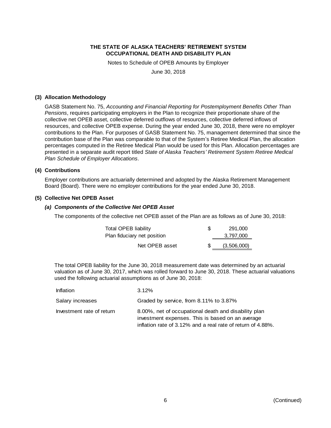Notes to Schedule of OPEB Amounts by Employer

June 30, 2018

#### **(3) Allocation Methodology**

GASB Statement No. 75, *Accounting and Financial Reporting for Postemployment Benefits Other Than Pensions*, requires participating employers in the Plan to recognize their proportionate share of the collective net OPEB asset, collective deferred outflows of resources, collective deferred inflows of resources, and collective OPEB expense. During the year ended June 30, 2018, there were no employer contributions to the Plan. For purposes of GASB Statement No. 75, management determined that since the contribution base of the Plan was comparable to that of the System's Retiree Medical Plan, the allocation percentages computed in the Retiree Medical Plan would be used for this Plan. Allocation percentages are presented in a separate audit report titled *State of Alaska Teachers' Retirement System Retiree Medical Plan Schedule of Employer Allocations*.

#### **(4) Contributions**

Employer contributions are actuarially determined and adopted by the Alaska Retirement Management Board (Board). There were no employer contributions for the year ended June 30, 2018.

#### **(5) Collective Net OPEB Asset**

#### *(a) Components of the Collective Net OPEB Asset*

The components of the collective net OPEB asset of the Plan are as follows as of June 30, 2018:

| Total OPEB liability        | \$. | 291.000     |
|-----------------------------|-----|-------------|
| Plan fiduciary net position |     | 3,797,000   |
| Net OPEB asset              |     | (3,506,000) |

The total OPEB liability for the June 30, 2018 measurement date was determined by an actuarial valuation as of June 30, 2017, which was rolled forward to June 30, 2018. These actuarial valuations used the following actuarial assumptions as of June 30, 2018:

| Inflation                 | $3.12\%$                                                                                                                                                                |
|---------------------------|-------------------------------------------------------------------------------------------------------------------------------------------------------------------------|
| Salary increases          | Graded by service, from 8.11% to 3.87%                                                                                                                                  |
| Investment rate of return | 8.00%, net of occupational death and disability plan<br>investment expenses. This is based on an average<br>inflation rate of 3.12% and a real rate of return of 4.88%. |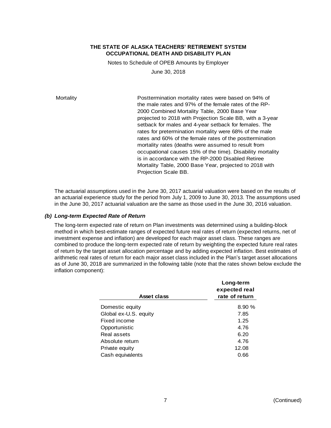Notes to Schedule of OPEB Amounts by Employer June 30, 2018

Mortality **Posttermination mortality rates were based on 94% of**  $\blacksquare$ the male rates and 97% of the female rates of the RP-2000 Combined Mortality Table, 2000 Base Year projected to 2018 with Projection Scale BB, with a 3-year setback for males and 4-year setback for females. The rates for pretermination mortality were 68% of the male rates and 60% of the female rates of the posttermination mortality rates (deaths were assumed to result from occupational causes 15% of the time). Disability mortality is in accordance with the RP-2000 Disabled Retiree Mortality Table, 2000 Base Year, projected to 2018 with Projection Scale BB.

The actuarial assumptions used in the June 30, 2017 actuarial valuation were based on the results of an actuarial experience study for the period from July 1, 2009 to June 30, 2013. The assumptions used in the June 30, 2017 actuarial valuation are the same as those used in the June 30, 2016 valuation.

#### *(b) Long-term Expected Rate of Return*

The long-term expected rate of return on Plan investments was determined using a building-block method in which best-estimate ranges of expected future real rates of return (expected returns, net of investment expense and inflation) are developed for each major asset class. These ranges are combined to produce the long-term expected rate of return by weighting the expected future real rates of return by the target asset allocation percentage and by adding expected inflation. Best estimates of arithmetic real rates of return for each major asset class included in the Plan's target asset allocations as of June 30, 2018 are summarized in the following table (note that the rates shown below exclude the inflation component):

|                       | Long-term<br>expected real |
|-----------------------|----------------------------|
| Asset class           | rate of return             |
| Domestic equity       | 8.90%                      |
| Global ex-U.S. equity | 7.85                       |
| Fixed income          | 1.25                       |
| Opportunistic         | 4.76                       |
| Real assets           | 6.20                       |
| Absolute return       | 4.76                       |
| Private equity        | 12.08                      |
| Cash equivalents      | 0.66                       |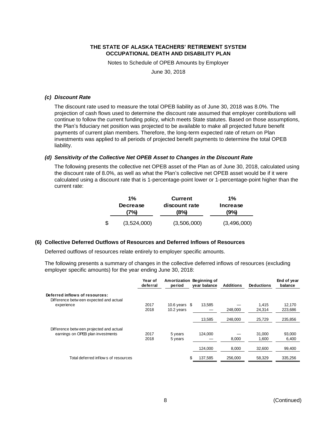Notes to Schedule of OPEB Amounts by Employer

June 30, 2018

#### *(c) Discount Rate*

The discount rate used to measure the total OPEB liability as of June 30, 2018 was 8.0%. The projection of cash flows used to determine the discount rate assumed that employer contributions will continue to follow the current funding policy, which meets State statutes. Based on those assumptions, the Plan's fiduciary net position was projected to be available to make all projected future benefit payments of current plan members. Therefore, the long-term expected rate of return on Plan investments was applied to all periods of projected benefit payments to determine the total OPEB liability.

## *(d) Sensitivity of the Collective Net OPEB Asset to Changes in the Discount Rate*

The following presents the collective net OPEB asset of the Plan as of June 30, 2018, calculated using the discount rate of 8.0%, as well as what the Plan's collective net OPEB asset would be if it were calculated using a discount rate that is 1-percentage-point lower or 1-percentage-point higher than the current rate:

| $1\%$ |                         | <b>Current</b>        | $1\%$            |  |
|-------|-------------------------|-----------------------|------------------|--|
|       | <b>Decrease</b><br>(7%) | discount rate<br>(8%) | Increase<br>(9%) |  |
| \$    | (3,524,000)             | (3,506,000)           | (3,496,000)      |  |

#### **(6) Collective Deferred Outflows of Resources and Deferred Inflows of Resources**

Deferred outflows of resources relate entirely to employer specific amounts.

The following presents a summary of changes in the collective deferred inflows of resources (excluding employer specific amounts) for the year ending June 30, 2018:

|                                                                          | Year of<br>deferral | Amortization Beginning of<br>period | vear balance | <b>Additions</b> | <b>Deductions</b> | End of year<br>balance |
|--------------------------------------------------------------------------|---------------------|-------------------------------------|--------------|------------------|-------------------|------------------------|
| Deferred inflows of resources:<br>Difference between expected and actual |                     |                                     |              |                  |                   |                        |
| experience                                                               | 2017                | 10.6 years $$$                      | 13.585       |                  | 1.415             | 12,170                 |
|                                                                          | 2018                | 10.2 years                          |              | 248,000          | 24,314            | 223,686                |
|                                                                          |                     |                                     | 13,585       | 248,000          | 25,729            | 235,856                |
| Difference between projected and actual                                  |                     |                                     |              |                  |                   |                        |
| earnings on OPEB plan investments                                        | 2017                | 5 years                             | 124.000      |                  | 31.000            | 93,000                 |
|                                                                          | 2018                | 5 years                             |              | 8,000            | 1,600             | 6,400                  |
|                                                                          |                     |                                     | 124.000      | 8.000            | 32,600            | 99,400                 |
| Total deferred inflows of resources                                      |                     | \$                                  | 137,585      | 256,000          | 58,329            | 335,256                |
|                                                                          |                     |                                     |              |                  |                   |                        |